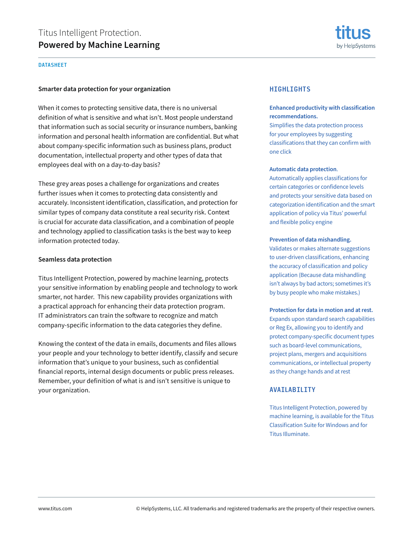## DATASHEET

## **Smarter data protection for your organization**

When it comes to protecting sensitive data, there is no universal definition of what is sensitive and what isn't. Most people understand that information such as social security or insurance numbers, banking information and personal health information are confidential. But what about company-specific information such as business plans, product documentation, intellectual property and other types of data that employees deal with on a day-to-day basis?

These grey areas poses a challenge for organizations and creates further issues when it comes to protecting data consistently and accurately. Inconsistent identification, classification, and protection for similar types of company data constitute a real security risk. Context is crucial for accurate data classification, and a combination of people and technology applied to classification tasks is the best way to keep information protected today.

## **Seamless data protection**

Titus Intelligent Protection, powered by machine learning, protects your sensitive information by enabling people and technology to work smarter, not harder. This new capability provides organizations with a practical approach for enhancing their data protection program. IT administrators can train the software to recognize and match company-specific information to the data categories they define.

Knowing the context of the data in emails, documents and files allows your people and your technology to better identify, classify and secure information that's unique to your business, such as confidential financial reports, internal design documents or public press releases. Remember, your definition of what is and isn't sensitive is unique to your organization.



## **HIGHLIGHTS**

## **Enhanced productivity with classification recommendations.**

Simplifies the data protection process for your employees by suggesting classifications that they can confirm with one click

### **Automatic data protection**.

Automatically applies classifications for certain categories or confidence levels and protects your sensitive data based on categorization identification and the smart application of policy via Titus' powerful and flexible policy engine

## **Prevention of data mishandling.**

Validates or makes alternate suggestions to user-driven classifications, enhancing the accuracy of classification and policy application (Because data mishandling isn't always by bad actors; sometimes it's by busy people who make mistakes.)

## **Protection for data in motion and at rest.**

Expands upon standard search capabilities or Reg Ex, allowing you to identify and protect company-specific document types such as board-level communications, project plans, mergers and acquisitions communications, or intellectual property as they change hands and at rest

## AVAILABILITY

Titus Intelligent Protection, powered by machine learning, is available for the Titus Classification Suite for Windows and for Titus Illuminate.